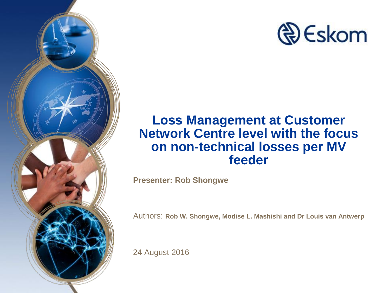



#### **Loss Management at Customer Network Centre level with the focus on non-technical losses per MV feeder**

**Presenter: Rob Shongwe**

Authors: **Rob W. Shongwe, Modise L. Mashishi and Dr Louis van Antwerp**

24 August 2016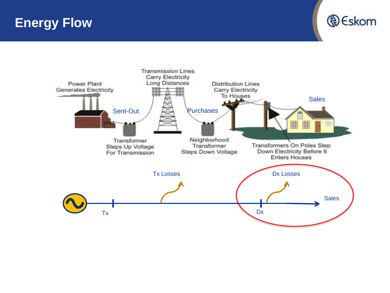**Energy Flow**



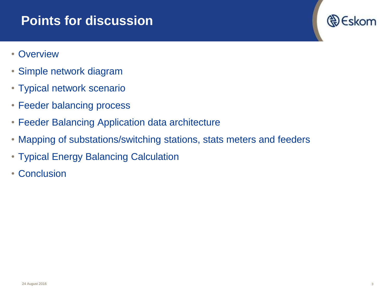#### **Points for discussion**

- Overview
- Simple network diagram
- Typical network scenario
- Feeder balancing process
- Feeder Balancing Application data architecture
- Mapping of substations/switching stations, stats meters and feeders
- Typical Energy Balancing Calculation
- Conclusion

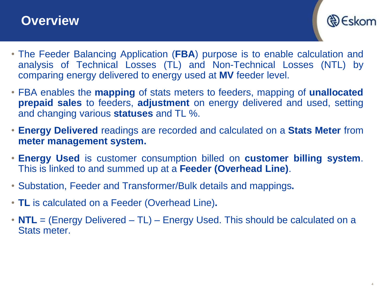#### **Overview**



- The Feeder Balancing Application (**FBA**) purpose is to enable calculation and analysis of Technical Losses (TL) and Non-Technical Losses (NTL) by comparing energy delivered to energy used at **MV** feeder level.
- FBA enables the **mapping** of stats meters to feeders, mapping of **unallocated prepaid sales** to feeders, **adjustment** on energy delivered and used, setting and changing various **statuses** and TL %.
- **Energy Delivered** readings are recorded and calculated on a **Stats Meter** from **meter management system.**
- **Energy Used** is customer consumption billed on **customer billing system**. This is linked to and summed up at a **Feeder (Overhead Line)**.
- Substation, Feeder and Transformer/Bulk details and mappings**.**
- **TL** is calculated on a Feeder (Overhead Line)**.**
- **NTL** = (Energy Delivered TL) Energy Used. This should be calculated on a Stats meter.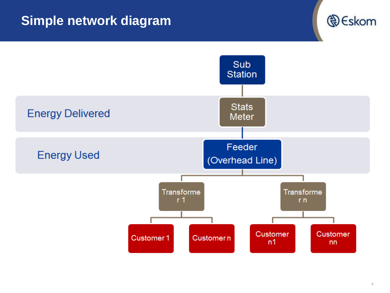## **Simple network diagram**



**D** Eskom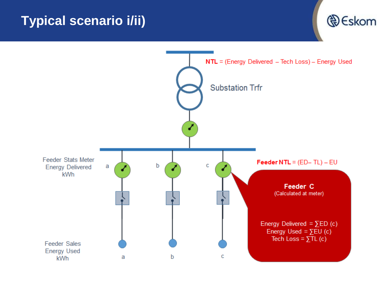## **Typical scenario i/ii)**



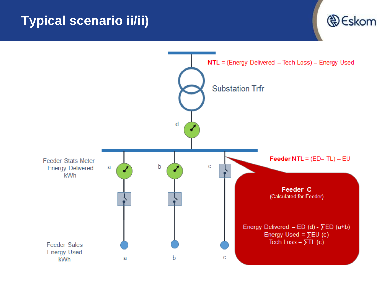## **Typical scenario ii/ii)**



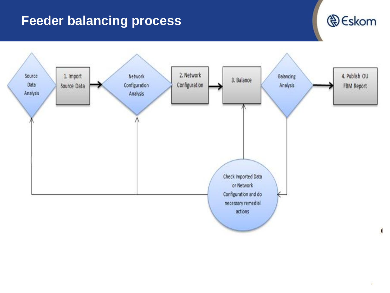## **Feeder balancing process**



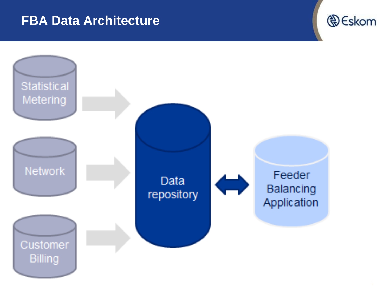#### **FBA Data Architecture**



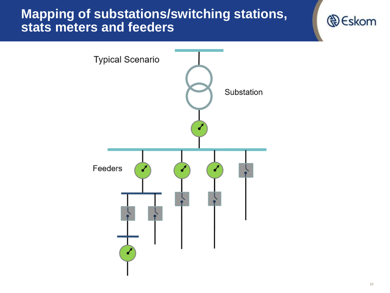#### **Mapping of substations/switching stations, stats meters and feeders**



**D**Eskom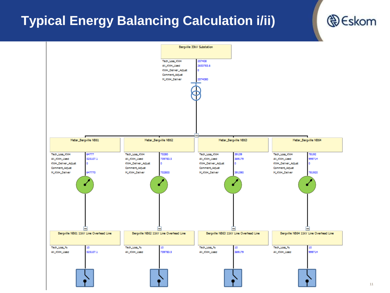## **Typical Energy Balancing Calculation i/ii)**



**A** Eskom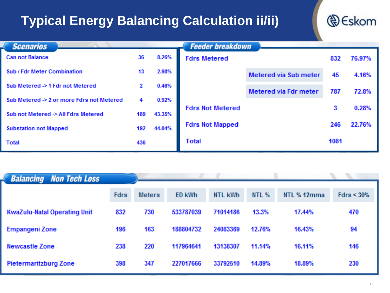## **Typical Energy Balancing Calculation ii/ii)**



| <b>Scenarios</b>                              |     |        | <b>Feeder breakdown</b> |                              |      |        |
|-----------------------------------------------|-----|--------|-------------------------|------------------------------|------|--------|
| <b>Can not Balance</b>                        | 36  | 8.26%  | <b>Fdrs Metered</b>     |                              | 832  | 76.97% |
| <b>Sub / Fdr Meter Combination</b>            | 13  | 2.98%  |                         | <b>Metered via Sub meter</b> | 45   | 4.16%  |
| Sub Metered -> 1 Fdr not Metered              | 2   | 0.46%  |                         | Metered via Fdr meter        | 787  | 72.8%  |
| Sub Metered $\geq 2$ or more Fdrs not Metered | 4   | 0.92%  |                         |                              |      |        |
| Sub not Metered -> All Fdrs Metered           | 189 | 43.35% | <b>Fdrs Not Metered</b> |                              | 3    | 0.28%  |
| <b>Substation not Mapped</b>                  | 192 | 44.04% | <b>Fdrs Not Mapped</b>  |                              | 246  | 22.76% |
| <b>Total</b>                                  | 436 |        | <b>Total</b>            |                              | 1081 |        |

| <b>Balancing Non Tech Loss</b>      |             |               |               |                |              |             |            |  |
|-------------------------------------|-------------|---------------|---------------|----------------|--------------|-------------|------------|--|
|                                     | <b>Fdrs</b> | <b>Meters</b> | <b>ED kWh</b> | <b>NTL kWh</b> | <b>NTL %</b> | NTL % 12mma | Fdrs < 30% |  |
| <b>KwaZulu-Natal Operating Unit</b> | 832         | 730           | 533787039     | 71014186       | 13.3%        | 17.44%      | 470        |  |
| <b>Empangeni Zone</b>               | 196         | 163           | 188804732     | 24083369       | 12.76%       | 16.43%      | 94         |  |
| <b>Newcastle Zone</b>               | 238         | 220           | 117964641     | 13138307       | 11.14%       | 16.11%      | 146        |  |
| <b>Pietermaritzburg Zone</b>        | 398         | 347           | 227017666     | 33792510       | 14.89%       | 18.89%      | 230        |  |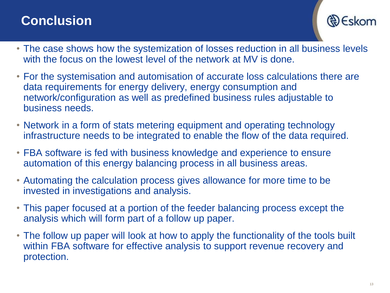## **Conclusion**

Eskom

- The case shows how the systemization of losses reduction in all business levels with the focus on the lowest level of the network at MV is done.
- For the systemisation and automisation of accurate loss calculations there are data requirements for energy delivery, energy consumption and network/configuration as well as predefined business rules adjustable to business needs.
- Network in a form of stats metering equipment and operating technology infrastructure needs to be integrated to enable the flow of the data required.
- FBA software is fed with business knowledge and experience to ensure automation of this energy balancing process in all business areas.
- Automating the calculation process gives allowance for more time to be invested in investigations and analysis.
- This paper focused at a portion of the feeder balancing process except the analysis which will form part of a follow up paper.
- The follow up paper will look at how to apply the functionality of the tools built within FBA software for effective analysis to support revenue recovery and protection.